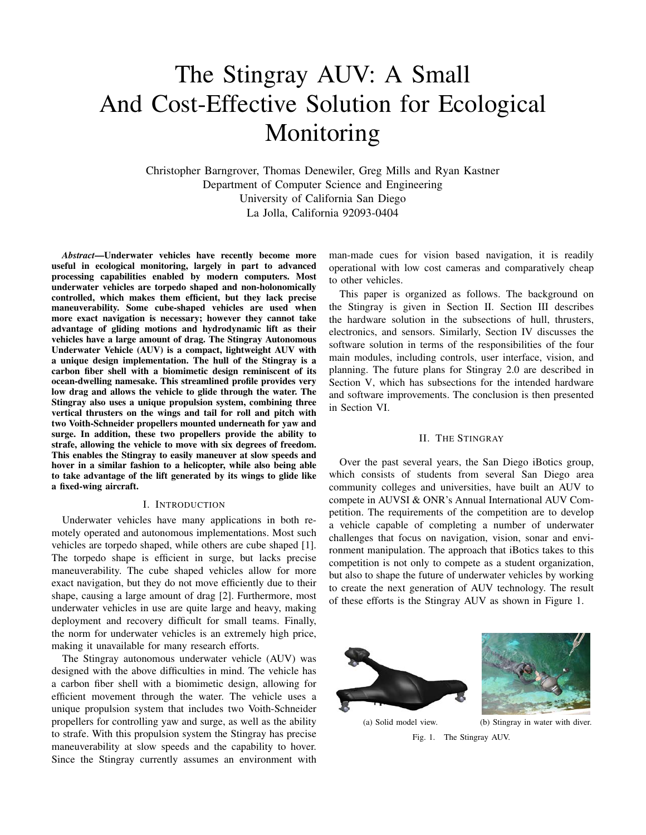# The Stingray AUV: A Small And Cost-Effective Solution for Ecological Monitoring

Christopher Barngrover, Thomas Denewiler, Greg Mills and Ryan Kastner Department of Computer Science and Engineering University of California San Diego La Jolla, California 92093-0404

*Abstract*—Underwater vehicles have recently become more useful in ecological monitoring, largely in part to advanced processing capabilities enabled by modern computers. Most underwater vehicles are torpedo shaped and non-holonomically controlled, which makes them efficient, but they lack precise maneuverability. Some cube-shaped vehicles are used when more exact navigation is necessary; however they cannot take advantage of gliding motions and hydrodynamic lift as their vehicles have a large amount of drag. The Stingray Autonomous Underwater Vehicle (AUV) is a compact, lightweight AUV with a unique design implementation. The hull of the Stingray is a carbon fiber shell with a biomimetic design reminiscent of its ocean-dwelling namesake. This streamlined profile provides very low drag and allows the vehicle to glide through the water. The Stingray also uses a unique propulsion system, combining three vertical thrusters on the wings and tail for roll and pitch with two Voith-Schneider propellers mounted underneath for yaw and surge. In addition, these two propellers provide the ability to strafe, allowing the vehicle to move with six degrees of freedom. This enables the Stingray to easily maneuver at slow speeds and hover in a similar fashion to a helicopter, while also being able to take advantage of the lift generated by its wings to glide like a fixed-wing aircraft.

# I. INTRODUCTION

Underwater vehicles have many applications in both remotely operated and autonomous implementations. Most such vehicles are torpedo shaped, while others are cube shaped [1]. The torpedo shape is efficient in surge, but lacks precise maneuverability. The cube shaped vehicles allow for more exact navigation, but they do not move efficiently due to their shape, causing a large amount of drag [2]. Furthermore, most underwater vehicles in use are quite large and heavy, making deployment and recovery difficult for small teams. Finally, the norm for underwater vehicles is an extremely high price, making it unavailable for many research efforts.

The Stingray autonomous underwater vehicle (AUV) was designed with the above difficulties in mind. The vehicle has a carbon fiber shell with a biomimetic design, allowing for efficient movement through the water. The vehicle uses a unique propulsion system that includes two Voith-Schneider propellers for controlling yaw and surge, as well as the ability to strafe. With this propulsion system the Stingray has precise maneuverability at slow speeds and the capability to hover. Since the Stingray currently assumes an environment with

man-made cues for vision based navigation, it is readily operational with low cost cameras and comparatively cheap to other vehicles.

This paper is organized as follows. The background on the Stingray is given in Section II. Section III describes the hardware solution in the subsections of hull, thrusters, electronics, and sensors. Similarly, Section IV discusses the software solution in terms of the responsibilities of the four main modules, including controls, user interface, vision, and planning. The future plans for Stingray 2.0 are described in Section V, which has subsections for the intended hardware and software improvements. The conclusion is then presented in Section VI.

#### II. THE STINGRAY

Over the past several years, the San Diego iBotics group, which consists of students from several San Diego area community colleges and universities, have built an AUV to compete in AUVSI & ONR's Annual International AUV Competition. The requirements of the competition are to develop a vehicle capable of completing a number of underwater challenges that focus on navigation, vision, sonar and environment manipulation. The approach that iBotics takes to this competition is not only to compete as a student organization, but also to shape the future of underwater vehicles by working to create the next generation of AUV technology. The result of these efforts is the Stingray AUV as shown in Figure 1.





(a) Solid model view. (b) Stingray in water with diver. Fig. 1. The Stingray AUV.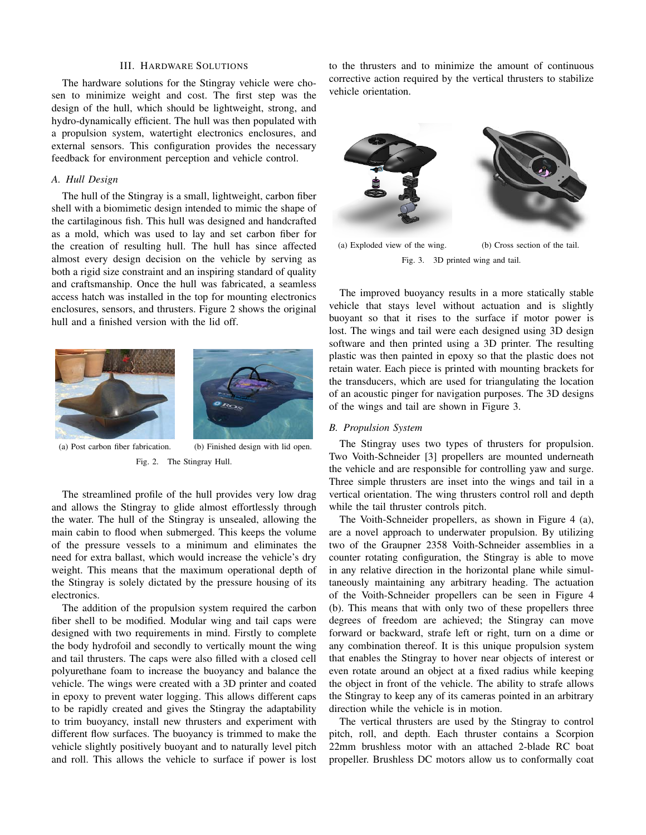#### III. HARDWARE SOLUTIONS

The hardware solutions for the Stingray vehicle were chosen to minimize weight and cost. The first step was the design of the hull, which should be lightweight, strong, and hydro-dynamically efficient. The hull was then populated with a propulsion system, watertight electronics enclosures, and external sensors. This configuration provides the necessary feedback for environment perception and vehicle control.

#### *A. Hull Design*

The hull of the Stingray is a small, lightweight, carbon fiber shell with a biomimetic design intended to mimic the shape of the cartilaginous fish. This hull was designed and handcrafted as a mold, which was used to lay and set carbon fiber for the creation of resulting hull. The hull has since affected almost every design decision on the vehicle by serving as both a rigid size constraint and an inspiring standard of quality and craftsmanship. Once the hull was fabricated, a seamless access hatch was installed in the top for mounting electronics enclosures, sensors, and thrusters. Figure 2 shows the original hull and a finished version with the lid off.





(a) Post carbon fiber fabrication. (b) Finished design with lid open. Fig. 2. The Stingray Hull.

The streamlined profile of the hull provides very low drag and allows the Stingray to glide almost effortlessly through the water. The hull of the Stingray is unsealed, allowing the main cabin to flood when submerged. This keeps the volume of the pressure vessels to a minimum and eliminates the need for extra ballast, which would increase the vehicle's dry weight. This means that the maximum operational depth of the Stingray is solely dictated by the pressure housing of its electronics.

The addition of the propulsion system required the carbon fiber shell to be modified. Modular wing and tail caps were designed with two requirements in mind. Firstly to complete the body hydrofoil and secondly to vertically mount the wing and tail thrusters. The caps were also filled with a closed cell polyurethane foam to increase the buoyancy and balance the vehicle. The wings were created with a 3D printer and coated in epoxy to prevent water logging. This allows different caps to be rapidly created and gives the Stingray the adaptability to trim buoyancy, install new thrusters and experiment with different flow surfaces. The buoyancy is trimmed to make the vehicle slightly positively buoyant and to naturally level pitch and roll. This allows the vehicle to surface if power is lost

to the thrusters and to minimize the amount of continuous corrective action required by the vertical thrusters to stabilize vehicle orientation.



(a) Exploded view of the wing. (b) Cross section of the tail. Fig. 3. 3D printed wing and tail.

The improved buoyancy results in a more statically stable vehicle that stays level without actuation and is slightly buoyant so that it rises to the surface if motor power is lost. The wings and tail were each designed using 3D design software and then printed using a 3D printer. The resulting plastic was then painted in epoxy so that the plastic does not retain water. Each piece is printed with mounting brackets for the transducers, which are used for triangulating the location of an acoustic pinger for navigation purposes. The 3D designs of the wings and tail are shown in Figure 3.

#### *B. Propulsion System*

The Stingray uses two types of thrusters for propulsion. Two Voith-Schneider [3] propellers are mounted underneath the vehicle and are responsible for controlling yaw and surge. Three simple thrusters are inset into the wings and tail in a vertical orientation. The wing thrusters control roll and depth while the tail thruster controls pitch.

The Voith-Schneider propellers, as shown in Figure 4 (a), are a novel approach to underwater propulsion. By utilizing two of the Graupner 2358 Voith-Schneider assemblies in a counter rotating configuration, the Stingray is able to move in any relative direction in the horizontal plane while simultaneously maintaining any arbitrary heading. The actuation of the Voith-Schneider propellers can be seen in Figure 4 (b). This means that with only two of these propellers three degrees of freedom are achieved; the Stingray can move forward or backward, strafe left or right, turn on a dime or any combination thereof. It is this unique propulsion system that enables the Stingray to hover near objects of interest or even rotate around an object at a fixed radius while keeping the object in front of the vehicle. The ability to strafe allows the Stingray to keep any of its cameras pointed in an arbitrary direction while the vehicle is in motion.

The vertical thrusters are used by the Stingray to control pitch, roll, and depth. Each thruster contains a Scorpion 22mm brushless motor with an attached 2-blade RC boat propeller. Brushless DC motors allow us to conformally coat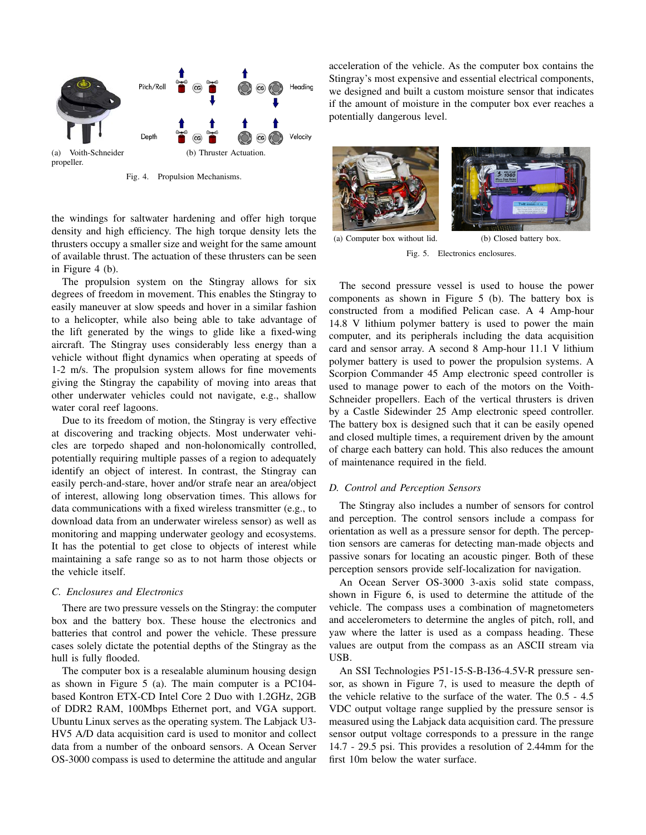

Fig. 4. Propulsion Mechanisms.

the windings for saltwater hardening and offer high torque density and high efficiency. The high torque density lets the thrusters occupy a smaller size and weight for the same amount of available thrust. The actuation of these thrusters can be seen in Figure 4 (b).

The propulsion system on the Stingray allows for six degrees of freedom in movement. This enables the Stingray to easily maneuver at slow speeds and hover in a similar fashion to a helicopter, while also being able to take advantage of the lift generated by the wings to glide like a fixed-wing aircraft. The Stingray uses considerably less energy than a vehicle without flight dynamics when operating at speeds of 1-2 m/s. The propulsion system allows for fine movements giving the Stingray the capability of moving into areas that other underwater vehicles could not navigate, e.g., shallow water coral reef lagoons.

Due to its freedom of motion, the Stingray is very effective at discovering and tracking objects. Most underwater vehicles are torpedo shaped and non-holonomically controlled, potentially requiring multiple passes of a region to adequately identify an object of interest. In contrast, the Stingray can easily perch-and-stare, hover and/or strafe near an area/object of interest, allowing long observation times. This allows for data communications with a fixed wireless transmitter (e.g., to download data from an underwater wireless sensor) as well as monitoring and mapping underwater geology and ecosystems. It has the potential to get close to objects of interest while maintaining a safe range so as to not harm those objects or the vehicle itself.

# *C. Enclosures and Electronics*

There are two pressure vessels on the Stingray: the computer box and the battery box. These house the electronics and batteries that control and power the vehicle. These pressure cases solely dictate the potential depths of the Stingray as the hull is fully flooded.

The computer box is a resealable aluminum housing design as shown in Figure 5 (a). The main computer is a PC104 based Kontron ETX-CD Intel Core 2 Duo with 1.2GHz, 2GB of DDR2 RAM, 100Mbps Ethernet port, and VGA support. Ubuntu Linux serves as the operating system. The Labjack U3- HV5 A/D data acquisition card is used to monitor and collect data from a number of the onboard sensors. A Ocean Server OS-3000 compass is used to determine the attitude and angular

acceleration of the vehicle. As the computer box contains the Stingray's most expensive and essential electrical components, we designed and built a custom moisture sensor that indicates if the amount of moisture in the computer box ever reaches a potentially dangerous level.



(a) Computer box without lid. (b) Closed battery box. Fig. 5. Electronics enclosures.

The second pressure vessel is used to house the power components as shown in Figure 5 (b). The battery box is constructed from a modified Pelican case. A 4 Amp-hour 14.8 V lithium polymer battery is used to power the main computer, and its peripherals including the data acquisition card and sensor array. A second 8 Amp-hour 11.1 V lithium polymer battery is used to power the propulsion systems. A Scorpion Commander 45 Amp electronic speed controller is used to manage power to each of the motors on the Voith-Schneider propellers. Each of the vertical thrusters is driven by a Castle Sidewinder 25 Amp electronic speed controller. The battery box is designed such that it can be easily opened and closed multiple times, a requirement driven by the amount of charge each battery can hold. This also reduces the amount of maintenance required in the field.

## *D. Control and Perception Sensors*

The Stingray also includes a number of sensors for control and perception. The control sensors include a compass for orientation as well as a pressure sensor for depth. The perception sensors are cameras for detecting man-made objects and passive sonars for locating an acoustic pinger. Both of these perception sensors provide self-localization for navigation.

An Ocean Server OS-3000 3-axis solid state compass, shown in Figure 6, is used to determine the attitude of the vehicle. The compass uses a combination of magnetometers and accelerometers to determine the angles of pitch, roll, and yaw where the latter is used as a compass heading. These values are output from the compass as an ASCII stream via USB.

An SSI Technologies P51-15-S-B-I36-4.5V-R pressure sensor, as shown in Figure 7, is used to measure the depth of the vehicle relative to the surface of the water. The 0.5 - 4.5 VDC output voltage range supplied by the pressure sensor is measured using the Labjack data acquisition card. The pressure sensor output voltage corresponds to a pressure in the range 14.7 - 29.5 psi. This provides a resolution of 2.44mm for the first 10m below the water surface.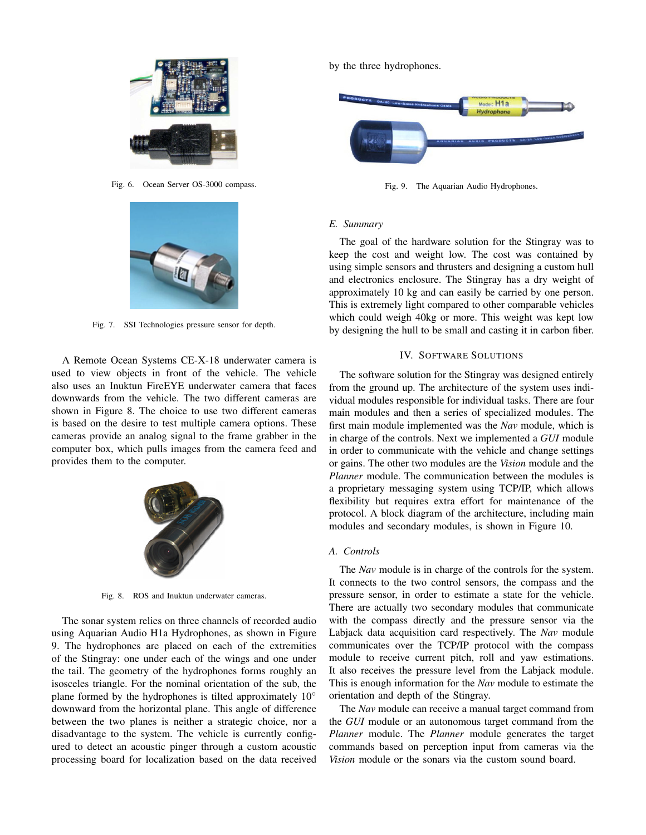

Fig. 6. Ocean Server OS-3000 compass.



Fig. 7. SSI Technologies pressure sensor for depth.

A Remote Ocean Systems CE-X-18 underwater camera is used to view objects in front of the vehicle. The vehicle also uses an Inuktun FireEYE underwater camera that faces downwards from the vehicle. The two different cameras are shown in Figure 8. The choice to use two different cameras is based on the desire to test multiple camera options. These cameras provide an analog signal to the frame grabber in the computer box, which pulls images from the camera feed and provides them to the computer.



Fig. 8. ROS and Inuktun underwater cameras.

The sonar system relies on three channels of recorded audio using Aquarian Audio H1a Hydrophones, as shown in Figure 9. The hydrophones are placed on each of the extremities of the Stingray: one under each of the wings and one under the tail. The geometry of the hydrophones forms roughly an isosceles triangle. For the nominal orientation of the sub, the plane formed by the hydrophones is tilted approximately 10*◦* downward from the horizontal plane. This angle of difference between the two planes is neither a strategic choice, nor a disadvantage to the system. The vehicle is currently configured to detect an acoustic pinger through a custom acoustic processing board for localization based on the data received

by the three hydrophones.



Fig. 9. The Aquarian Audio Hydrophones.

#### *E. Summary*

The goal of the hardware solution for the Stingray was to keep the cost and weight low. The cost was contained by using simple sensors and thrusters and designing a custom hull and electronics enclosure. The Stingray has a dry weight of approximately 10 kg and can easily be carried by one person. This is extremely light compared to other comparable vehicles which could weigh 40kg or more. This weight was kept low by designing the hull to be small and casting it in carbon fiber.

## IV. SOFTWARE SOLUTIONS

The software solution for the Stingray was designed entirely from the ground up. The architecture of the system uses individual modules responsible for individual tasks. There are four main modules and then a series of specialized modules. The first main module implemented was the *Nav* module, which is in charge of the controls. Next we implemented a *GUI* module in order to communicate with the vehicle and change settings or gains. The other two modules are the *Vision* module and the *Planner* module. The communication between the modules is a proprietary messaging system using TCP/IP, which allows flexibility but requires extra effort for maintenance of the protocol. A block diagram of the architecture, including main modules and secondary modules, is shown in Figure 10.

#### *A. Controls*

The *Nav* module is in charge of the controls for the system. It connects to the two control sensors, the compass and the pressure sensor, in order to estimate a state for the vehicle. There are actually two secondary modules that communicate with the compass directly and the pressure sensor via the Labjack data acquisition card respectively. The *Nav* module communicates over the TCP/IP protocol with the compass module to receive current pitch, roll and yaw estimations. It also receives the pressure level from the Labjack module. This is enough information for the *Nav* module to estimate the orientation and depth of the Stingray.

The *Nav* module can receive a manual target command from the *GUI* module or an autonomous target command from the *Planner* module. The *Planner* module generates the target commands based on perception input from cameras via the *Vision* module or the sonars via the custom sound board.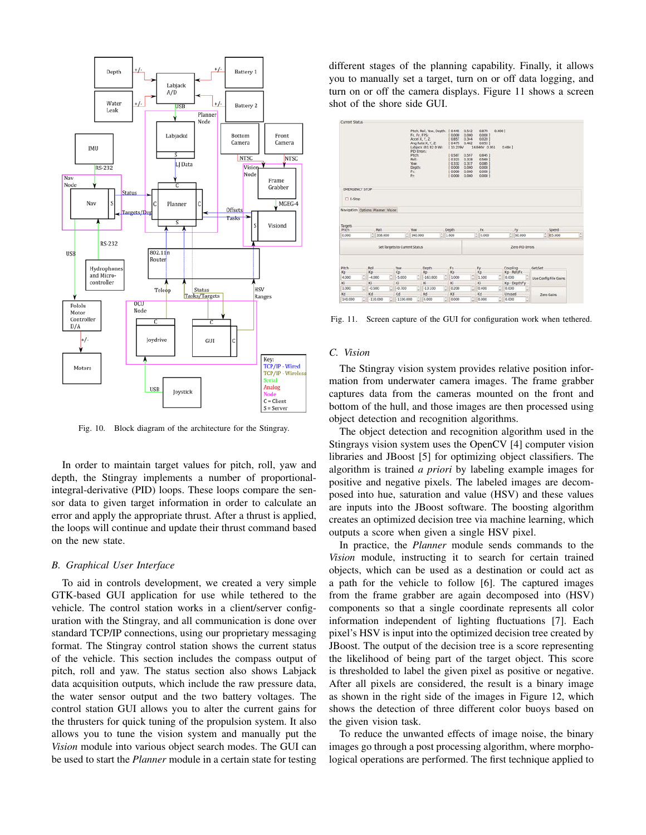

Fig. 10. Block diagram of the architecture for the Stingray.

In order to maintain target values for pitch, roll, yaw and depth, the Stingray implements a number of proportionalintegral-derivative (PID) loops. These loops compare the sensor data to given target information in order to calculate an error and apply the appropriate thrust. After a thrust is applied, the loops will continue and update their thrust command based on the new state.

## *B. Graphical User Interface*

To aid in controls development, we created a very simple GTK-based GUI application for use while tethered to the vehicle. The control station works in a client/server configuration with the Stingray, and all communication is done over standard TCP/IP connections, using our proprietary messaging format. The Stingray control station shows the current status of the vehicle. This section includes the compass output of pitch, roll and yaw. The status section also shows Labjack data acquisition outputs, which include the raw pressure data, the water sensor output and the two battery voltages. The control station GUI allows you to alter the current gains for the thrusters for quick tuning of the propulsion system. It also allows you to tune the vision system and manually put the *Vision* module into various object search modes. The GUI can be used to start the *Planner* module in a certain state for testing different stages of the planning capability. Finally, it allows you to manually set a target, turn on or off data logging, and turn on or off the camera displays. Figure 11 shows a screen shot of the shore side GUI.



Fig. 11. Screen capture of the GUI for configuration work when tethered.

# *C. Vision*

The Stingray vision system provides relative position information from underwater camera images. The frame grabber captures data from the cameras mounted on the front and bottom of the hull, and those images are then processed using object detection and recognition algorithms.

The object detection and recognition algorithm used in the Stingrays vision system uses the OpenCV [4] computer vision libraries and JBoost [5] for optimizing object classifiers. The algorithm is trained *a priori* by labeling example images for positive and negative pixels. The labeled images are decomposed into hue, saturation and value (HSV) and these values are inputs into the JBoost software. The boosting algorithm creates an optimized decision tree via machine learning, which outputs a score when given a single HSV pixel.

In practice, the *Planner* module sends commands to the *Vision* module, instructing it to search for certain trained objects, which can be used as a destination or could act as a path for the vehicle to follow [6]. The captured images from the frame grabber are again decomposed into (HSV) components so that a single coordinate represents all color information independent of lighting fluctuations [7]. Each pixel's HSV is input into the optimized decision tree created by JBoost. The output of the decision tree is a score representing the likelihood of being part of the target object. This score is thresholded to label the given pixel as positive or negative. After all pixels are considered, the result is a binary image as shown in the right side of the images in Figure 12, which shows the detection of three different color buoys based on the given vision task.

To reduce the unwanted effects of image noise, the binary images go through a post processing algorithm, where morphological operations are performed. The first technique applied to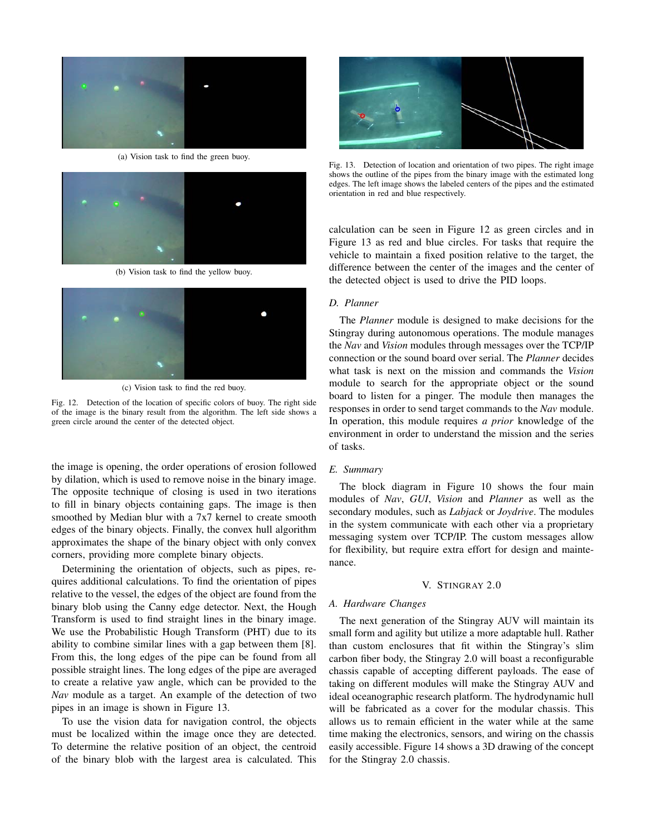

(a) Vision task to find the green buoy.



(b) Vision task to find the yellow buoy.



(c) Vision task to find the red buoy.

Fig. 12. Detection of the location of specific colors of buoy. The right side of the image is the binary result from the algorithm. The left side shows a green circle around the center of the detected object.

the image is opening, the order operations of erosion followed by dilation, which is used to remove noise in the binary image. The opposite technique of closing is used in two iterations to fill in binary objects containing gaps. The image is then smoothed by Median blur with a 7x7 kernel to create smooth edges of the binary objects. Finally, the convex hull algorithm approximates the shape of the binary object with only convex corners, providing more complete binary objects.

Determining the orientation of objects, such as pipes, requires additional calculations. To find the orientation of pipes relative to the vessel, the edges of the object are found from the binary blob using the Canny edge detector. Next, the Hough Transform is used to find straight lines in the binary image. We use the Probabilistic Hough Transform (PHT) due to its ability to combine similar lines with a gap between them [8]. From this, the long edges of the pipe can be found from all possible straight lines. The long edges of the pipe are averaged to create a relative yaw angle, which can be provided to the *Nav* module as a target. An example of the detection of two pipes in an image is shown in Figure 13.

To use the vision data for navigation control, the objects must be localized within the image once they are detected. To determine the relative position of an object, the centroid of the binary blob with the largest area is calculated. This



Fig. 13. Detection of location and orientation of two pipes. The right image shows the outline of the pipes from the binary image with the estimated long edges. The left image shows the labeled centers of the pipes and the estimated orientation in red and blue respectively.

calculation can be seen in Figure 12 as green circles and in Figure 13 as red and blue circles. For tasks that require the vehicle to maintain a fixed position relative to the target, the difference between the center of the images and the center of the detected object is used to drive the PID loops.

## *D. Planner*

The *Planner* module is designed to make decisions for the Stingray during autonomous operations. The module manages the *Nav* and *Vision* modules through messages over the TCP/IP connection or the sound board over serial. The *Planner* decides what task is next on the mission and commands the *Vision* module to search for the appropriate object or the sound board to listen for a pinger. The module then manages the responses in order to send target commands to the *Nav* module. In operation, this module requires *a prior* knowledge of the environment in order to understand the mission and the series of tasks.

### *E. Summary*

The block diagram in Figure 10 shows the four main modules of *Nav*, *GUI*, *Vision* and *Planner* as well as the secondary modules, such as *Labjack* or *Joydrive*. The modules in the system communicate with each other via a proprietary messaging system over TCP/IP. The custom messages allow for flexibility, but require extra effort for design and maintenance.

# V. STINGRAY 2.0

# *A. Hardware Changes*

The next generation of the Stingray AUV will maintain its small form and agility but utilize a more adaptable hull. Rather than custom enclosures that fit within the Stingray's slim carbon fiber body, the Stingray 2.0 will boast a reconfigurable chassis capable of accepting different payloads. The ease of taking on different modules will make the Stingray AUV and ideal oceanographic research platform. The hydrodynamic hull will be fabricated as a cover for the modular chassis. This allows us to remain efficient in the water while at the same time making the electronics, sensors, and wiring on the chassis easily accessible. Figure 14 shows a 3D drawing of the concept for the Stingray 2.0 chassis.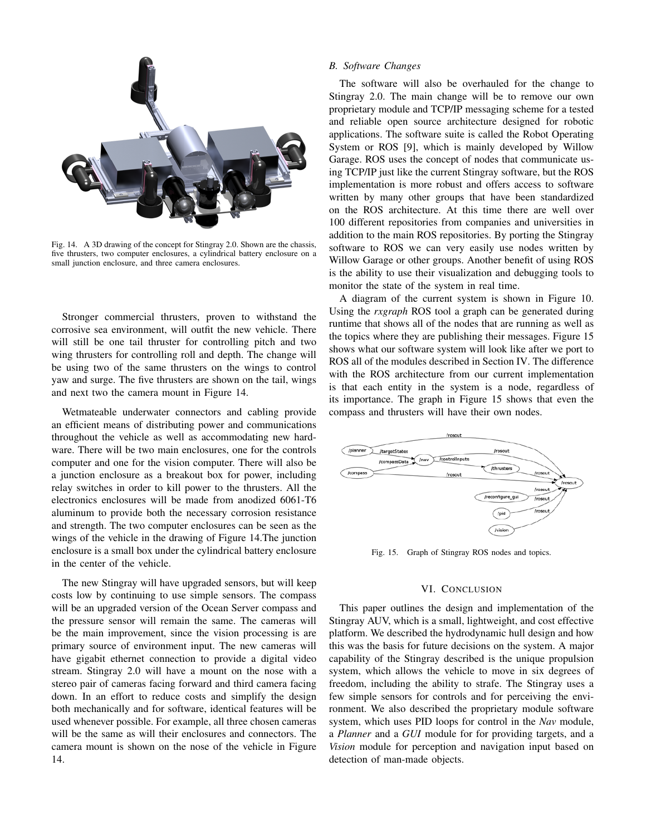

Fig. 14. A 3D drawing of the concept for Stingray 2.0. Shown are the chassis, five thrusters, two computer enclosures, a cylindrical battery enclosure on a small junction enclosure, and three camera enclosures.

Stronger commercial thrusters, proven to withstand the corrosive sea environment, will outfit the new vehicle. There will still be one tail thruster for controlling pitch and two wing thrusters for controlling roll and depth. The change will be using two of the same thrusters on the wings to control yaw and surge. The five thrusters are shown on the tail, wings and next two the camera mount in Figure 14.

Wetmateable underwater connectors and cabling provide an efficient means of distributing power and communications throughout the vehicle as well as accommodating new hardware. There will be two main enclosures, one for the controls computer and one for the vision computer. There will also be a junction enclosure as a breakout box for power, including relay switches in order to kill power to the thrusters. All the electronics enclosures will be made from anodized 6061-T6 aluminum to provide both the necessary corrosion resistance and strength. The two computer enclosures can be seen as the wings of the vehicle in the drawing of Figure 14.The junction enclosure is a small box under the cylindrical battery enclosure in the center of the vehicle.

The new Stingray will have upgraded sensors, but will keep costs low by continuing to use simple sensors. The compass will be an upgraded version of the Ocean Server compass and the pressure sensor will remain the same. The cameras will be the main improvement, since the vision processing is are primary source of environment input. The new cameras will have gigabit ethernet connection to provide a digital video stream. Stingray 2.0 will have a mount on the nose with a stereo pair of cameras facing forward and third camera facing down. In an effort to reduce costs and simplify the design both mechanically and for software, identical features will be used whenever possible. For example, all three chosen cameras will be the same as will their enclosures and connectors. The camera mount is shown on the nose of the vehicle in Figure 14.

## *B. Software Changes*

The software will also be overhauled for the change to Stingray 2.0. The main change will be to remove our own proprietary module and TCP/IP messaging scheme for a tested and reliable open source architecture designed for robotic applications. The software suite is called the Robot Operating System or ROS [9], which is mainly developed by Willow Garage. ROS uses the concept of nodes that communicate using TCP/IP just like the current Stingray software, but the ROS implementation is more robust and offers access to software written by many other groups that have been standardized on the ROS architecture. At this time there are well over 100 different repositories from companies and universities in addition to the main ROS repositories. By porting the Stingray software to ROS we can very easily use nodes written by Willow Garage or other groups. Another benefit of using ROS is the ability to use their visualization and debugging tools to monitor the state of the system in real time.

A diagram of the current system is shown in Figure 10. Using the *rxgraph* ROS tool a graph can be generated during runtime that shows all of the nodes that are running as well as the topics where they are publishing their messages. Figure 15 shows what our software system will look like after we port to ROS all of the modules described in Section IV. The difference with the ROS architecture from our current implementation is that each entity in the system is a node, regardless of its importance. The graph in Figure 15 shows that even the compass and thrusters will have their own nodes.



Fig. 15. Graph of Stingray ROS nodes and topics.

#### VI. CONCLUSION

This paper outlines the design and implementation of the Stingray AUV, which is a small, lightweight, and cost effective platform. We described the hydrodynamic hull design and how this was the basis for future decisions on the system. A major capability of the Stingray described is the unique propulsion system, which allows the vehicle to move in six degrees of freedom, including the ability to strafe. The Stingray uses a few simple sensors for controls and for perceiving the environment. We also described the proprietary module software system, which uses PID loops for control in the *Nav* module, a *Planner* and a *GUI* module for for providing targets, and a *Vision* module for perception and navigation input based on detection of man-made objects.